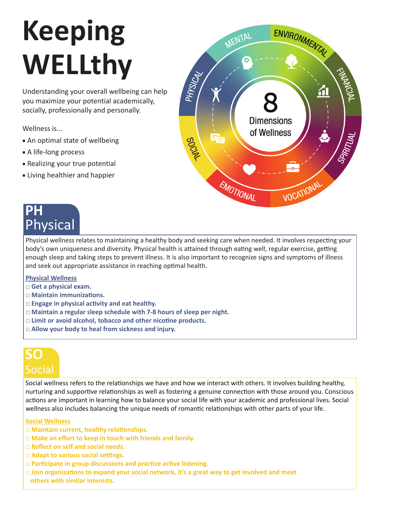# **Keeping WELLthy**

Understanding your overall wellbeing can help you maximize your potential academically, socially, professionally and personally.

Wellness is...

- An optimal state of wellbeing
- A life-long process
- Realizing your true potential
- Living healthier and happier

# **PH** Physical

ENVIRONMENTAL MENTAL FORMALD RESIDENCE PHYSICAL **Dimensions** of Wellness **ROOMAN** VOCATIONAL EMOTIONAL

Physical wellness relates to maintaining a healthy body and seeking care when needed. It involves respecting your body's own uniqueness and diversity. Physical health is attained through eating well, regular exercise, getting enough sleep and taking steps to prevent illness. It is also important to recognize signs and symptoms of illness and seek out appropriate assistance in reaching optimal health.

#### **Physical Wellness**

- **□ Get a physical exam.**
- **□ Maintain immunizations.**
- **□ Engage in physical activity and eat healthy.**
- **□ Maintain a regular sleep schedule with 7-8 hours of sleep per night.**
- **□ Limit or avoid alcohol, tobacco and other nicotine products.**
- **□ Allow your body to heal from sickness and injury.**

# **SO** Social

Social wellness refers to the relationships we have and how we interact with others. It involves building healthy, nurturing and supportive relationships as well as fostering a genuine connection with those around you. Conscious actions are important in learning how to balance your social life with your academic and professional lives. Social wellness also includes balancing the unique needs of romantic relationships with other parts of your life.

#### **Social Wellness**

- **□ Maintain current, healthy relationships.**
- **□ Make an effort to keep in touch with friends and family.**
- **□ Reflect on self and social needs.**
- **□ Adapt to various social settings.**
- **□ Participate in group discussions and practice active listening.**
- **□ Join organizations to expand your social network, it's a great way to get involved and meet others with similar interests.**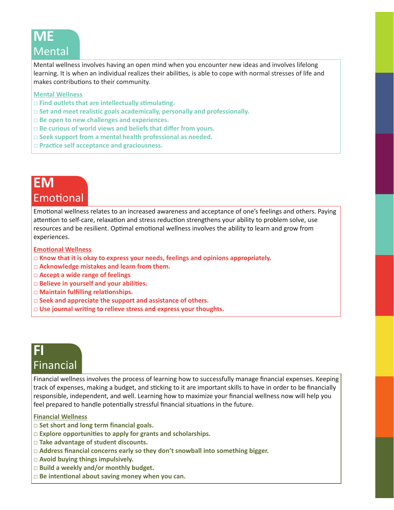# **ME Mental**

Mental wellness involves having an open mind when you encounter new ideas and involves lifelong learning. It is when an individual realizes their abilities, is able to cope with normal stresses of life and makes contributions to their community.

#### **Mental Wellness**

- **□ Find outlets that are intellectually stimulating.**
- **□ Set and meet realistic goals academically, personally and professionally.**
- **□ Be open to new challenges and experiences.**
- **□ Be curious of world views and beliefs that differ from yours.**
- **□ Seek support from a mental health professional as needed.**
- **□ Practice self acceptance and graciousness.**

### **EM** Emotional

Emotional wellness relates to an increased awareness and acceptance of one's feelings and others. Paying attention to self-care, relaxation and stress reduction strengthens your ability to problem solve, use resources and be resilient. Optimal emotional wellness involves the ability to learn and grow from experiences.

#### **Emotional Wellness**

- **□ Know that it is okay to express your needs, feelings and opinions appropriately.**
- **□ Acknowledge mistakes and learn from them.**
- **□ Accept a wide range of feelings**
- **□ Believe in yourself and your abilities.**
- **□ Maintain fulfilling relationships.**
- **□ Seek and appreciate the support and assistance of others.**
- **□ Use journal writing to relieve stress and express your thoughts.**

### **FI** Financial

Financial wellness involves the process of learning how to successfully manage financial expenses. Keeping track of expenses, making a budget, and sticking to it are important skills to have in order to be financially responsible, independent, and well. Learning how to maximize your financial wellness now will help you feel prepared to handle potentially stressful financial situations in the future.

#### **Financial Wellness**

- **□ Set short and long term financial goals.**
- **□ Explore opportunities to apply for grants and scholarships.**
- **□ Take advantage of student discounts.**
- **□ Address financial concerns early so they don't snowball into something bigger.**
- **□ Avoid buying things impulsively.**
- **□ Build a weekly and/or monthly budget.**
- **□ Be intentional about saving money when you can.**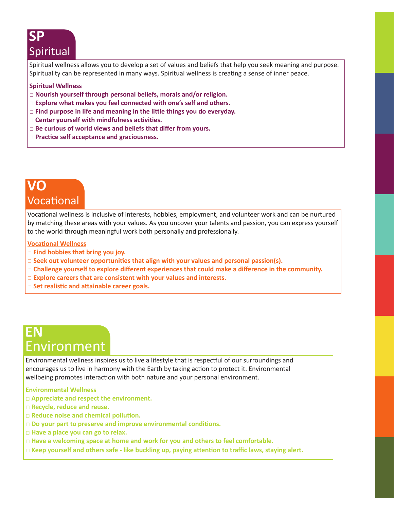# **SP** Spiritual

Spiritual wellness allows you to develop a set of values and beliefs that help you seek meaning and purpose. Spirituality can be represented in many ways. Spiritual wellness is creating a sense of inner peace.

#### **Spiritual Wellness**

- **□ Nourish yourself through personal beliefs, morals and/or religion.**
- **□ Explore what makes you feel connected with one's self and others.**
- **□ Find purpose in life and meaning in the little things you do everyday.**
- **□ Center yourself with mindfulness activities.**
- **□ Be curious of world views and beliefs that differ from yours.**
- **□ Practice self acceptance and graciousness.**

### **VO** Vocational

Vocational wellness is inclusive of interests, hobbies, employment, and volunteer work and can be nurtured by matching these areas with your values. As you uncover your talents and passion, you can express yourself to the world through meaningful work both personally and professionally.

**Vocational Wellness**

- **□ Find hobbies that bring you joy.**
- **□ Seek out volunteer opportunities that align with your values and personal passion(s).**
- **□ Challenge yourself to explore different experiences that could make a difference in the community.**
- **□ Explore careers that are consistent with your values and interests.**
- **□ Set realistic and attainable career goals.**

# **EN** Environment

Environmental wellness inspires us to live a lifestyle that is respectful of our surroundings and encourages us to live in harmony with the Earth by taking action to protect it. Environmental wellbeing promotes interaction with both nature and your personal environment.

#### **Environmental Wellness**

- **□ Appreciate and respect the environment.**
- **□ Recycle, reduce and reuse.**
- **□ Reduce noise and chemical pollution.**
- **□ Do your part to preserve and improve environmental conditions.**
- **□ Have a place you can go to relax.**
- **□ Have a welcoming space at home and work for you and others to feel comfortable.**
- **□ Keep yourself and others safe like buckling up, paying attention to traffic laws, staying alert.**